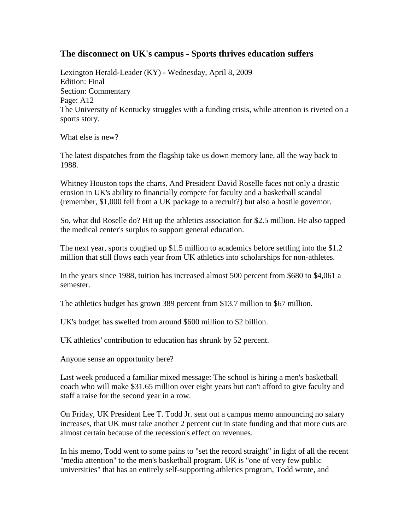## **The disconnect on UK's campus - Sports thrives education suffers**

Lexington Herald-Leader (KY) - Wednesday, April 8, 2009 Edition: Final Section: Commentary Page: A12 The University of Kentucky struggles with a funding crisis, while attention is riveted on a sports story.

What else is new?

The latest dispatches from the flagship take us down memory lane, all the way back to 1988.

Whitney Houston tops the charts. And President David Roselle faces not only a drastic erosion in UK's ability to financially compete for faculty and a basketball scandal (remember, \$1,000 fell from a UK package to a recruit?) but also a hostile governor.

So, what did Roselle do? Hit up the athletics association for \$2.5 million. He also tapped the medical center's surplus to support general education.

The next year, sports coughed up \$1.5 million to academics before settling into the \$1.2 million that still flows each year from UK athletics into scholarships for non-athletes.

In the years since 1988, tuition has increased almost 500 percent from \$680 to \$4,061 a semester.

The athletics budget has grown 389 percent from \$13.7 million to \$67 million.

UK's budget has swelled from around \$600 million to \$2 billion.

UK athletics' contribution to education has shrunk by 52 percent.

Anyone sense an opportunity here?

Last week produced a familiar mixed message: The school is hiring a men's basketball coach who will make \$31.65 million over eight years but can't afford to give faculty and staff a raise for the second year in a row.

On Friday, UK President Lee T. Todd Jr. sent out a campus memo announcing no salary increases, that UK must take another 2 percent cut in state funding and that more cuts are almost certain because of the recession's effect on revenues.

In his memo, Todd went to some pains to "set the record straight" in light of all the recent "media attention" to the men's basketball program. UK is "one of very few public universities" that has an entirely self-supporting athletics program, Todd wrote, and